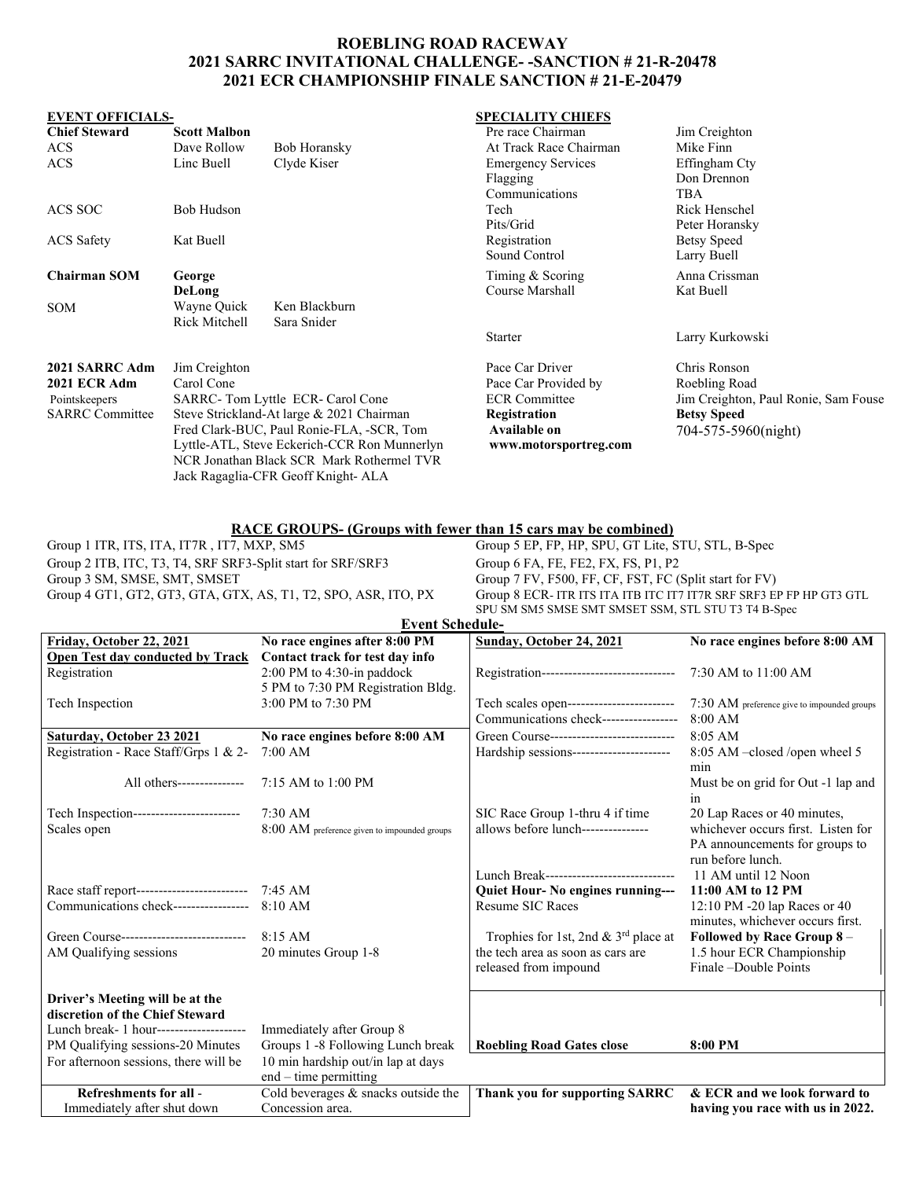## **ROEBLING ROAD RACEWAY 2021 SARRC INVITATIONAL CHALLENGE- -SANCTION # 21-R-20478 2021 ECR CHAMPIONSHIP FINALE SANCTION # 21-E-20479**

### **EVENT OFFICIALS- SPECIALITY CHIEFS**

| <b>Chief Steward</b>   | <b>Scott Malbon</b>                                                                                                                    |                                           | Pre race Chairman         | Jim Creighton                        |
|------------------------|----------------------------------------------------------------------------------------------------------------------------------------|-------------------------------------------|---------------------------|--------------------------------------|
| <b>ACS</b>             | Dave Rollow                                                                                                                            | Bob Horansky                              | At Track Race Chairman    | Mike Finn                            |
| <b>ACS</b>             | Linc Buell                                                                                                                             | Clyde Kiser                               | <b>Emergency Services</b> | Effingham Cty                        |
|                        |                                                                                                                                        |                                           | Flagging                  | Don Drennon                          |
|                        |                                                                                                                                        |                                           | Communications            | TBA                                  |
| ACS SOC                | Bob Hudson                                                                                                                             |                                           | Tech                      | Rick Henschel                        |
|                        |                                                                                                                                        |                                           | Pits/Grid                 | Peter Horansky                       |
| <b>ACS</b> Safety      | Kat Buell                                                                                                                              |                                           | Registration              | Betsy Speed                          |
|                        |                                                                                                                                        |                                           | Sound Control             | Larry Buell                          |
| <b>Chairman SOM</b>    | George                                                                                                                                 |                                           | Timing & Scoring          | Anna Crissman                        |
|                        | DeLong                                                                                                                                 |                                           | Course Marshall           | Kat Buell                            |
| <b>SOM</b>             | Wayne Quick                                                                                                                            | Ken Blackburn                             |                           |                                      |
|                        | Rick Mitchell                                                                                                                          | Sara Snider                               |                           |                                      |
|                        |                                                                                                                                        |                                           | <b>Starter</b>            | Larry Kurkowski                      |
| 2021 SARRC Adm         | Jim Creighton                                                                                                                          |                                           | Pace Car Driver           | Chris Ronson                         |
| 2021 ECR Adm           | Carol Cone                                                                                                                             |                                           | Pace Car Provided by      | Roebling Road                        |
| Pointskeepers          | SARRC-Tom Lyttle ECR-Carol Cone                                                                                                        |                                           | <b>ECR</b> Committee      | Jim Creighton, Paul Ronie, Sam Fouse |
| <b>SARRC</b> Committee | Steve Strickland-At large & 2021 Chairman<br>Fred Clark-BUC, Paul Ronie-FLA, -SCR, Tom<br>Lyttle-ATL, Steve Eckerich-CCR Ron Munnerlyn |                                           | Registration              | <b>Betsy Speed</b>                   |
|                        |                                                                                                                                        |                                           | Available on              | 704-575-5960(night)                  |
|                        |                                                                                                                                        |                                           | www.motorsportreg.com     |                                      |
|                        |                                                                                                                                        | NCR Jonathan Black SCR Mark Rothermel TVR |                           |                                      |
|                        | Jack Ragaglia-CFR Geoff Knight- ALA                                                                                                    |                                           |                           |                                      |
|                        |                                                                                                                                        |                                           |                           |                                      |

# Group 1 ITR, ITS, ITA, IT7R, IT7, MXP, SM5<br>Group 5 EP, FP, HP, SPU, GT Lite, SPU, GT Lite, SPU, GT Lite, SPU, GT Lite, SPU, GT Lite, SPU, GT Lite, SPU, GT Lite, SPU, GT Lite, SPU, GT Lite, SPU, GT Lite, SPU, GT Lite, SPU,

Group 2 ITB, ITC, T3, T4, SRF SRF3-Split start for SRF/SRF3 Group 6 FA, FE, FE2, FX, FS, P1, P2<br>Group 3 SM, SMSE, SMT, SMSET Group 7 FV, F500, FF, CF, FST, FC (

Group 5 EP, FP, HP, SPU, GT Lite, STU, STL, B-Spec Group 3 SM, SMSE, SMT, SMSET<br>Group 4 GT1, GT2, GT3, GTA, GTX, AS, T1, T2, SPO, ASR, ITO, PX<br>Group 8 ECR- ITR ITS ITA ITB ITC IT7 IT7R SRF SRF3 EI Group 8 ECR- ITR ITS ITA ITB ITC IT7 IT7R SRF SRF3 EP FP HP GT3 GTL SPU SM SM5 SMSE SMT SMSET SSM, STL STU T3 T4 B-Spec

| <b>Event Schedule-</b>                              |                                              |                                             |                                                       |  |  |  |  |  |  |
|-----------------------------------------------------|----------------------------------------------|---------------------------------------------|-------------------------------------------------------|--|--|--|--|--|--|
| Friday, October 22, 2021                            | No race engines after 8:00 PM                | Sunday, October 24, 2021                    | No race engines before 8:00 AM                        |  |  |  |  |  |  |
| <b>Open Test day conducted by Track</b>             | Contact track for test day info              |                                             |                                                       |  |  |  |  |  |  |
| Registration                                        | 2:00 PM to 4:30-in paddock                   | Registration------------------------------- | 7:30 AM to 11:00 AM                                   |  |  |  |  |  |  |
|                                                     | 5 PM to 7:30 PM Registration Bldg.           |                                             |                                                       |  |  |  |  |  |  |
| Tech Inspection                                     | 3:00 PM to 7:30 PM                           | Tech scales open------------------------    | $7:30 \text{ AM}$ preference give to impounded groups |  |  |  |  |  |  |
|                                                     |                                              | Communications check-----------------       | $8:00$ AM                                             |  |  |  |  |  |  |
| Saturday, October 23 2021                           | No race engines before 8:00 AM               | Green Course----------------------------    | $8:05$ AM                                             |  |  |  |  |  |  |
| Registration - Race Staff/Grps 1 & 2-               | $7:00$ AM                                    | Hardship sessions----------------------     | 8:05 AM -closed /open wheel 5                         |  |  |  |  |  |  |
|                                                     |                                              |                                             | min                                                   |  |  |  |  |  |  |
| All others---------------                           | 7:15 AM to 1:00 PM                           |                                             | Must be on grid for Out -1 lap and                    |  |  |  |  |  |  |
|                                                     |                                              |                                             | 1n                                                    |  |  |  |  |  |  |
| Tech Inspection------------------------             | $7:30$ AM                                    | SIC Race Group 1-thru 4 if time             | 20 Lap Races or 40 minutes,                           |  |  |  |  |  |  |
| Scales open                                         | 8:00 AM preference given to impounded groups | allows before lunch---------------          | whichever occurs first. Listen for                    |  |  |  |  |  |  |
|                                                     |                                              |                                             | PA announcements for groups to                        |  |  |  |  |  |  |
|                                                     |                                              |                                             | run before lunch.                                     |  |  |  |  |  |  |
|                                                     |                                              | Lunch Break-----------------------------    | 11 AM until 12 Noon                                   |  |  |  |  |  |  |
| Race staff report-------------------------- 7:45 AM |                                              | Quiet Hour- No engines running---           | 11:00 AM to 12 PM                                     |  |  |  |  |  |  |
| Communications check-----------------               | 8:10 AM                                      | <b>Resume SIC Races</b>                     | 12:10 PM -20 lap Races or 40                          |  |  |  |  |  |  |
|                                                     |                                              |                                             | minutes, whichever occurs first.                      |  |  |  |  |  |  |
| Green Course----------------------------            | $8:15$ AM                                    | Trophies for 1st, 2nd & $3rd$ place at      | Followed by Race Group 8 -                            |  |  |  |  |  |  |
| AM Qualifying sessions                              | 20 minutes Group 1-8                         | the tech area as soon as cars are           | 1.5 hour ECR Championship                             |  |  |  |  |  |  |
|                                                     |                                              | released from impound                       | Finale –Double Points                                 |  |  |  |  |  |  |
|                                                     |                                              |                                             |                                                       |  |  |  |  |  |  |
| Driver's Meeting will be at the                     |                                              |                                             |                                                       |  |  |  |  |  |  |
| discretion of the Chief Steward                     |                                              |                                             |                                                       |  |  |  |  |  |  |
| Lunch break- 1 hour--------------------             | Immediately after Group 8                    |                                             |                                                       |  |  |  |  |  |  |
| PM Qualifying sessions-20 Minutes                   | Groups 1 -8 Following Lunch break            | <b>Roebling Road Gates close</b>            | 8:00 PM                                               |  |  |  |  |  |  |
| For afternoon sessions, there will be               | 10 min hardship out/in lap at days           |                                             |                                                       |  |  |  |  |  |  |
|                                                     | $end - time$ permitting                      |                                             |                                                       |  |  |  |  |  |  |
| Refreshments for all -                              | Cold beverages & snacks outside the          | <b>Thank you for supporting SARRC</b>       | & ECR and we look forward to                          |  |  |  |  |  |  |
| Immediately after shut down                         | Concession area.                             |                                             | having you race with us in 2022.                      |  |  |  |  |  |  |